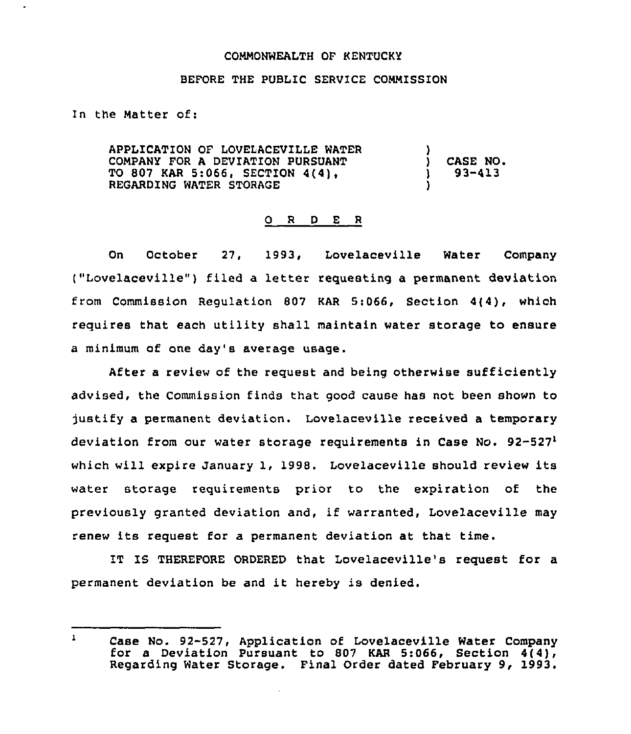## COMMONWEALTH OF KENTUCKY

## BEFORE THE PUBLIC SERVICE COMMISSION

In the Matter of:

APPLICATION OF LOVELACEVILLE WATER COMPANY FOR A DEVIATION PURSUANT TO 807 KAR 5:066, SECTION 4(4), REGARDING WATER STORAGE !<br>. ) CASE NO. ) 93-413 )

## O R D E R

On October 27, 1993, Lovelaceville Water Company ("Lovelaceville") filed a letter requesting a permanent deviation from Commission Regulation 807 KAR 5:066, Section 4(4), which requires that each utility shall maintain water storage to ensure a minimum of one day's average usage.

After a review of the request and being otherwise sufficiently advised, the Commission finds that good cause has not been shown to justify a permanent deviation. Lovelaceville received a temporary deviation from our water storage requirements in Case No.  $92-527$ which will expire January 1, 1998. Lovelaceville should review its water storage requirements prior to the expiration of the previously granted deviation and, if warranted, Lovelaceville may renew its request for a permanent deviation at that time.

IT IS THEREFORE ORDERED that Lovelaceville's request for a permanent deviation be and it hereby is denied.

 $\mathbf{1}$ Case No. 92-527, Application of Lovelaceville Water Company for a Deviation Pursuant to 807 KAR 5:066, Section 4(4), Regarding Water Storage. Final Order dated February 9, 1993.